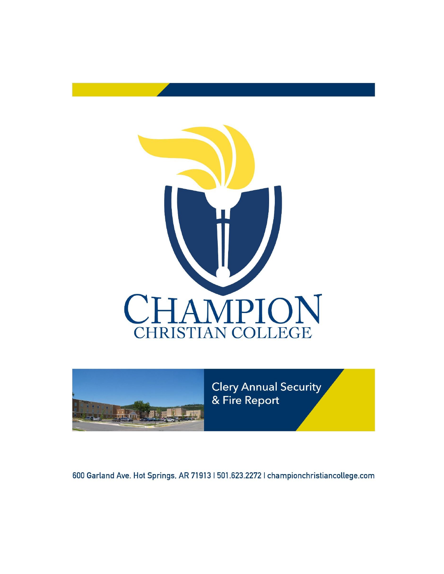



600 Garland Ave. Hot Springs, AR 71913 | 501.623.2272 | championchristiancollege.com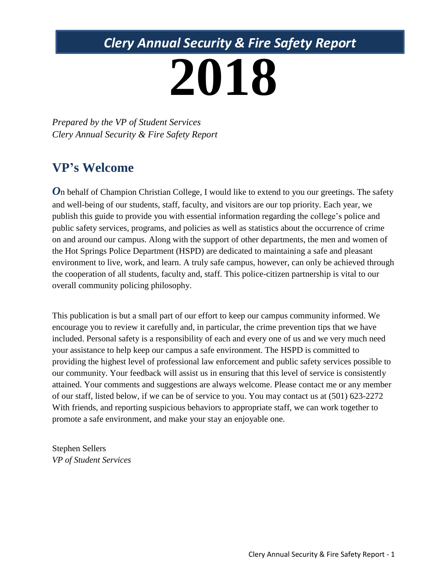# *Clery Annual Security & Fire Safety Report*

# **2018**

*Prepared by the VP of Student Services Clery Annual Security & Fire Safety Report* 

# **VP's Welcome**

**O**n behalf of Champion Christian College, I would like to extend to you our greetings. The safety and well-being of our students, staff, faculty, and visitors are our top priority. Each year, we publish this guide to provide you with essential information regarding the college's police and public safety services, programs, and policies as well as statistics about the occurrence of crime on and around our campus. Along with the support of other departments, the men and women of the Hot Springs Police Department (HSPD) are dedicated to maintaining a safe and pleasant environment to live, work, and learn. A truly safe campus, however, can only be achieved through the cooperation of all students, faculty and, staff. This police-citizen partnership is vital to our overall community policing philosophy.

This publication is but a small part of our effort to keep our campus community informed. We encourage you to review it carefully and, in particular, the crime prevention tips that we have included. Personal safety is a responsibility of each and every one of us and we very much need your assistance to help keep our campus a safe environment. The HSPD is committed to providing the highest level of professional law enforcement and public safety services possible to our community. Your feedback will assist us in ensuring that this level of service is consistently attained. Your comments and suggestions are always welcome. Please contact me or any member of our staff, listed below, if we can be of service to you. You may contact us at (501) 623-2272 With friends, and reporting suspicious behaviors to appropriate staff, we can work together to promote a safe environment, and make your stay an enjoyable one.

Stephen Sellers *VP of Student Services*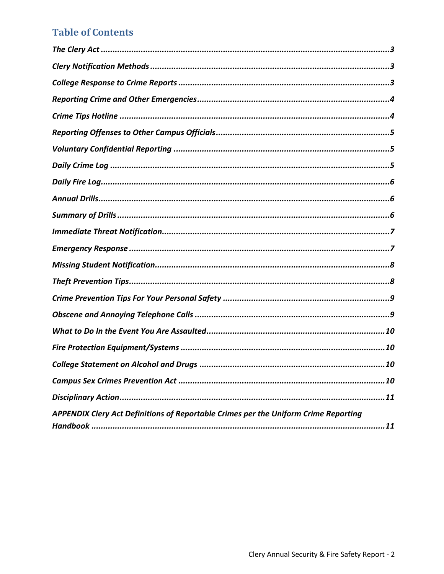#### **Table of Contents**

| APPENDIX Clery Act Definitions of Reportable Crimes per the Uniform Crime Reporting |
|-------------------------------------------------------------------------------------|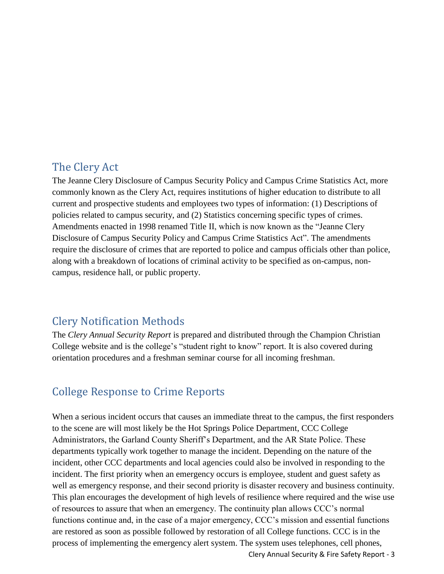#### <span id="page-3-0"></span>The Clery Act

The Jeanne Clery Disclosure of Campus Security Policy and Campus Crime Statistics Act, more commonly known as the Clery Act, requires institutions of higher education to distribute to all current and prospective students and employees two types of information: (1) Descriptions of policies related to campus security, and (2) Statistics concerning specific types of crimes. Amendments enacted in 1998 renamed Title II, which is now known as the "Jeanne Clery Disclosure of Campus Security Policy and Campus Crime Statistics Act". The amendments require the disclosure of crimes that are reported to police and campus officials other than police, along with a breakdown of locations of criminal activity to be specified as on-campus, noncampus, residence hall, or public property.

#### <span id="page-3-1"></span>Clery Notification Methods

The *Clery Annual Security Report* is prepared and distributed through the Champion Christian College website and is the college's "student right to know" report. It is also covered during orientation procedures and a freshman seminar course for all incoming freshman.

#### <span id="page-3-2"></span>College Response to Crime Reports

Clery Annual Security & Fire Safety Report - 3 When a serious incident occurs that causes an immediate threat to the campus, the first responders to the scene are will most likely be the Hot Springs Police Department, CCC College Administrators, the Garland County Sheriff's Department, and the AR State Police. These departments typically work together to manage the incident. Depending on the nature of the incident, other CCC departments and local agencies could also be involved in responding to the incident. The first priority when an emergency occurs is employee, student and guest safety as well as emergency response, and their second priority is disaster recovery and business continuity. This plan encourages the development of high levels of resilience where required and the wise use of resources to assure that when an emergency. The continuity plan allows CCC's normal functions continue and, in the case of a major emergency, CCC's mission and essential functions are restored as soon as possible followed by restoration of all College functions. CCC is in the process of implementing the emergency alert system. The system uses telephones, cell phones,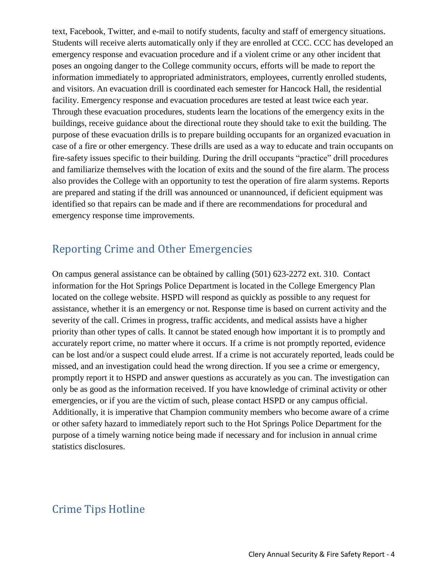text, Facebook, Twitter, and e-mail to notify students, faculty and staff of emergency situations. Students will receive alerts automatically only if they are enrolled at CCC. CCC has developed an emergency response and evacuation procedure and if a violent crime or any other incident that poses an ongoing danger to the College community occurs, efforts will be made to report the information immediately to appropriated administrators, employees, currently enrolled students, and visitors. An evacuation drill is coordinated each semester for Hancock Hall, the residential facility. Emergency response and evacuation procedures are tested at least twice each year. Through these evacuation procedures, students learn the locations of the emergency exits in the buildings, receive guidance about the directional route they should take to exit the building. The purpose of these evacuation drills is to prepare building occupants for an organized evacuation in case of a fire or other emergency. These drills are used as a way to educate and train occupants on fire-safety issues specific to their building. During the drill occupants "practice" drill procedures and familiarize themselves with the location of exits and the sound of the fire alarm. The process also provides the College with an opportunity to test the operation of fire alarm systems. Reports are prepared and stating if the drill was announced or unannounced, if deficient equipment was identified so that repairs can be made and if there are recommendations for procedural and emergency response time improvements.

## <span id="page-4-0"></span>Reporting Crime and Other Emergencies

On campus general assistance can be obtained by calling (501) 623-2272 ext. 310. Contact information for the Hot Springs Police Department is located in the College Emergency Plan located on the college website. HSPD will respond as quickly as possible to any request for assistance, whether it is an emergency or not. Response time is based on current activity and the severity of the call. Crimes in progress, traffic accidents, and medical assists have a higher priority than other types of calls. It cannot be stated enough how important it is to promptly and accurately report crime, no matter where it occurs. If a crime is not promptly reported, evidence can be lost and/or a suspect could elude arrest. If a crime is not accurately reported, leads could be missed, and an investigation could head the wrong direction. If you see a crime or emergency, promptly report it to HSPD and answer questions as accurately as you can. The investigation can only be as good as the information received. If you have knowledge of criminal activity or other emergencies, or if you are the victim of such, please contact HSPD or any campus official. Additionally, it is imperative that Champion community members who become aware of a crime or other safety hazard to immediately report such to the Hot Springs Police Department for the purpose of a timely warning notice being made if necessary and for inclusion in annual crime statistics disclosures.

# <span id="page-4-1"></span>Crime Tips Hotline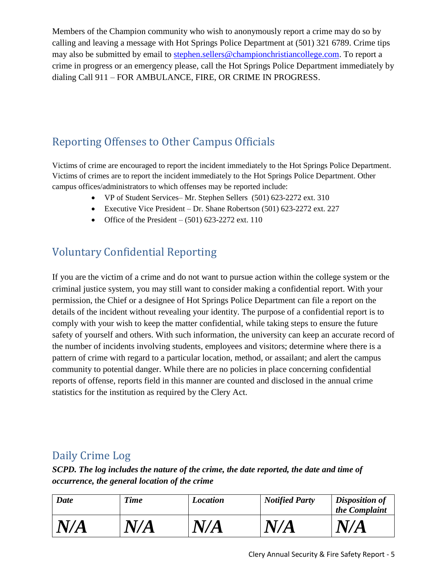Members of the Champion community who wish to anonymously report a crime may do so by calling and leaving a message with Hot Springs Police Department at (501) 321 6789. Crime tips may also be submitted by email to [stephen.sellers@championchristiancollege.com.](mailto:stephen.sellers@championchristiancollege.com) To report a crime in progress or an emergency please, call the Hot Springs Police Department immediately by dialing Call 911 – FOR AMBULANCE, FIRE, OR CRIME IN PROGRESS.

# <span id="page-5-0"></span>Reporting Offenses to Other Campus Officials

Victims of crime are encouraged to report the incident immediately to the Hot Springs Police Department. Victims of crimes are to report the incident immediately to the Hot Springs Police Department. Other campus offices/administrators to which offenses may be reported include:

- VP of Student Services– Mr. Stephen Sellers (501) 623-2272 ext. 310
- Executive Vice President Dr. Shane Robertson (501) 623-2272 ext. 227
- Office of the President  $(501)$  623-2272 ext. 110

# <span id="page-5-1"></span>Voluntary Confidential Reporting

If you are the victim of a crime and do not want to pursue action within the college system or the criminal justice system, you may still want to consider making a confidential report. With your permission, the Chief or a designee of Hot Springs Police Department can file a report on the details of the incident without revealing your identity. The purpose of a confidential report is to comply with your wish to keep the matter confidential, while taking steps to ensure the future safety of yourself and others. With such information, the university can keep an accurate record of the number of incidents involving students, employees and visitors; determine where there is a pattern of crime with regard to a particular location, method, or assailant; and alert the campus community to potential danger. While there are no policies in place concerning confidential reports of offense, reports field in this manner are counted and disclosed in the annual crime statistics for the institution as required by the Clery Act.

# <span id="page-5-2"></span>Daily Crime Log

*SCPD. The log includes the nature of the crime, the date reported, the date and time of occurrence, the general location of the crime*

| <b>Date</b> | <b>Time</b> | <b>Location</b> | <b>Notified Party</b> | <b>Disposition of</b><br>the Complaint |
|-------------|-------------|-----------------|-----------------------|----------------------------------------|
| N/A         | N/A         | N,<br>'A        | N/                    | N/A                                    |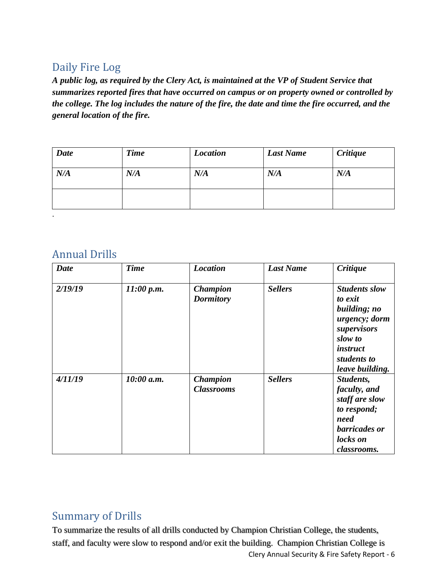# <span id="page-6-0"></span>Daily Fire Log

*A public log, as required by the Clery Act, is maintained at the VP of Student Service that summarizes reported fires that have occurred on campus or on property owned or controlled by the college. The log includes the nature of the fire, the date and time the fire occurred, and the general location of the fire.*

| <b>Date</b> | <b>Time</b> | <b>Location</b> | <b>Last Name</b> | <b>Critique</b> |
|-------------|-------------|-----------------|------------------|-----------------|
| N/A         | N/A         | N/A             | N/A              | N/A             |
|             |             |                 |                  |                 |

#### <span id="page-6-1"></span>Annual Drills

.

| <b>Date</b> | <b>Time</b> | <b>Location</b>                      | <b>Last Name</b> | <b>Critique</b>                                                                                                                                 |
|-------------|-------------|--------------------------------------|------------------|-------------------------------------------------------------------------------------------------------------------------------------------------|
| 2/19/19     | 11:00 p.m.  | <b>Champion</b><br><b>Dormitory</b>  | <b>Sellers</b>   | <b>Students slow</b><br>to exit<br>building; no<br>urgency; dorm<br>supervisors<br>slow to<br><i>instruct</i><br>students to<br>leave building. |
| 4/11/19     | 10:00 a.m.  | <b>Champion</b><br><b>Classrooms</b> | <b>Sellers</b>   | Students,<br>faculty, and<br>staff are slow<br>to respond;<br>need<br>barricades or<br>locks on<br>classrooms.                                  |

#### <span id="page-6-2"></span>Summary of Drills

Clery Annual Security & Fire Safety Report - 6 To summarize the results of all drills conducted by Champion Christian College, the students, staff, and faculty were slow to respond and/or exit the building. Champion Christian College is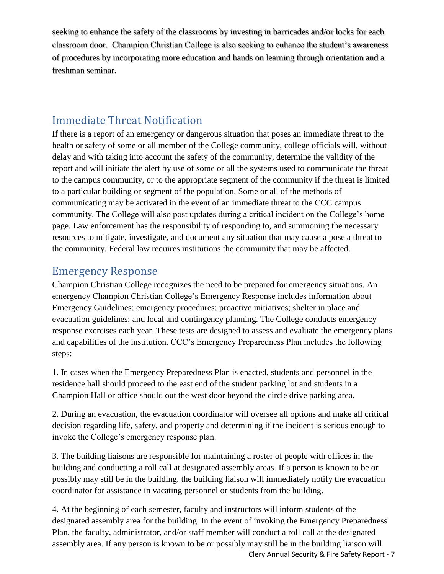seeking to enhance the safety of the classrooms by investing in barricades and/or locks for each classroom door. Champion Christian College is also seeking to enhance the student's awareness of procedures by incorporating more education and hands on learning through orientation and a freshman seminar.

#### <span id="page-7-0"></span>Immediate Threat Notification

If there is a report of an emergency or dangerous situation that poses an immediate threat to the health or safety of some or all member of the College community, college officials will, without delay and with taking into account the safety of the community, determine the validity of the report and will initiate the alert by use of some or all the systems used to communicate the threat to the campus community, or to the appropriate segment of the community if the threat is limited to a particular building or segment of the population. Some or all of the methods of communicating may be activated in the event of an immediate threat to the CCC campus community. The College will also post updates during a critical incident on the College's home page. Law enforcement has the responsibility of responding to, and summoning the necessary resources to mitigate, investigate, and document any situation that may cause a pose a threat to the community. Federal law requires institutions the community that may be affected.

#### <span id="page-7-1"></span>Emergency Response

Champion Christian College recognizes the need to be prepared for emergency situations. An emergency Champion Christian College's Emergency Response includes information about Emergency Guidelines; emergency procedures; proactive initiatives; shelter in place and evacuation guidelines; and local and contingency planning. The College conducts emergency response exercises each year. These tests are designed to assess and evaluate the emergency plans and capabilities of the institution. CCC's Emergency Preparedness Plan includes the following steps:

1. In cases when the Emergency Preparedness Plan is enacted, students and personnel in the residence hall should proceed to the east end of the student parking lot and students in a Champion Hall or office should out the west door beyond the circle drive parking area.

2. During an evacuation, the evacuation coordinator will oversee all options and make all critical decision regarding life, safety, and property and determining if the incident is serious enough to invoke the College's emergency response plan.

3. The building liaisons are responsible for maintaining a roster of people with offices in the building and conducting a roll call at designated assembly areas. If a person is known to be or possibly may still be in the building, the building liaison will immediately notify the evacuation coordinator for assistance in vacating personnel or students from the building.

Clery Annual Security & Fire Safety Report - 7 4. At the beginning of each semester, faculty and instructors will inform students of the designated assembly area for the building. In the event of invoking the Emergency Preparedness Plan, the faculty, administrator, and/or staff member will conduct a roll call at the designated assembly area. If any person is known to be or possibly may still be in the building liaison will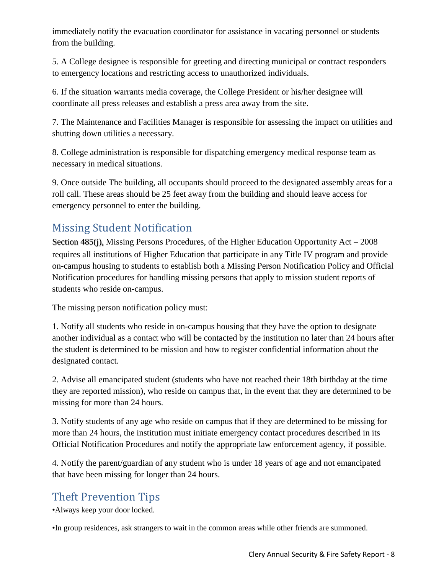immediately notify the evacuation coordinator for assistance in vacating personnel or students from the building.

5. A College designee is responsible for greeting and directing municipal or contract responders to emergency locations and restricting access to unauthorized individuals.

6. If the situation warrants media coverage, the College President or his/her designee will coordinate all press releases and establish a press area away from the site.

7. The Maintenance and Facilities Manager is responsible for assessing the impact on utilities and shutting down utilities a necessary.

8. College administration is responsible for dispatching emergency medical response team as necessary in medical situations.

9. Once outside The building, all occupants should proceed to the designated assembly areas for a roll call. These areas should be 25 feet away from the building and should leave access for emergency personnel to enter the building.

# <span id="page-8-0"></span>Missing Student Notification

Section 485(j), Missing Persons Procedures, of the Higher Education Opportunity Act – 2008 requires all institutions of Higher Education that participate in any Title IV program and provide on-campus housing to students to establish both a Missing Person Notification Policy and Official Notification procedures for handling missing persons that apply to mission student reports of students who reside on-campus.

The missing person notification policy must:

1. Notify all students who reside in on-campus housing that they have the option to designate another individual as a contact who will be contacted by the institution no later than 24 hours after the student is determined to be mission and how to register confidential information about the designated contact.

2. Advise all emancipated student (students who have not reached their 18th birthday at the time they are reported mission), who reside on campus that, in the event that they are determined to be missing for more than 24 hours.

3. Notify students of any age who reside on campus that if they are determined to be missing for more than 24 hours, the institution must initiate emergency contact procedures described in its Official Notification Procedures and notify the appropriate law enforcement agency, if possible.

4. Notify the parent/guardian of any student who is under 18 years of age and not emancipated that have been missing for longer than 24 hours.

# <span id="page-8-1"></span>Theft Prevention Tips

•Always keep your door locked.

•In group residences, ask strangers to wait in the common areas while other friends are summoned.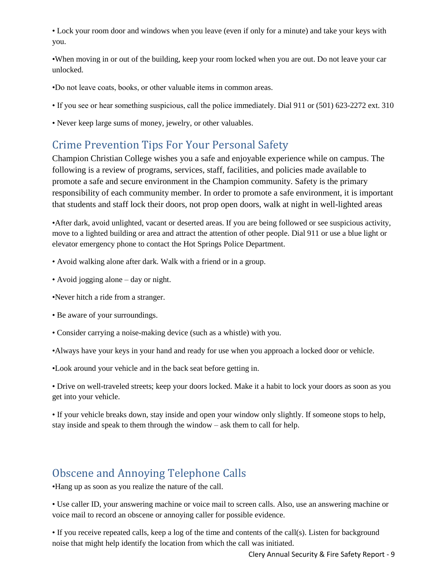• Lock your room door and windows when you leave (even if only for a minute) and take your keys with you.

•When moving in or out of the building, keep your room locked when you are out. Do not leave your car unlocked.

- •Do not leave coats, books, or other valuable items in common areas.
- If you see or hear something suspicious, call the police immediately. Dial 911 or (501) 623-2272 ext. 310
- Never keep large sums of money, jewelry, or other valuables.

## <span id="page-9-0"></span>Crime Prevention Tips For Your Personal Safety

Champion Christian College wishes you a safe and enjoyable experience while on campus. The following is a review of programs, services, staff, facilities, and policies made available to promote a safe and secure environment in the Champion community. Safety is the primary responsibility of each community member. In order to promote a safe environment, it is important that students and staff lock their doors, not prop open doors, walk at night in well-lighted areas

•After dark, avoid unlighted, vacant or deserted areas. If you are being followed or see suspicious activity, move to a lighted building or area and attract the attention of other people. Dial 911 or use a blue light or elevator emergency phone to contact the Hot Springs Police Department.

- Avoid walking alone after dark. Walk with a friend or in a group.
- Avoid jogging alone day or night.
- •Never hitch a ride from a stranger.
- Be aware of your surroundings.
- Consider carrying a noise-making device (such as a whistle) with you.
- •Always have your keys in your hand and ready for use when you approach a locked door or vehicle.
- •Look around your vehicle and in the back seat before getting in.

• Drive on well-traveled streets; keep your doors locked. Make it a habit to lock your doors as soon as you get into your vehicle.

• If your vehicle breaks down, stay inside and open your window only slightly. If someone stops to help, stay inside and speak to them through the window – ask them to call for help.

#### <span id="page-9-1"></span>Obscene and Annoying Telephone Calls

•Hang up as soon as you realize the nature of the call.

• Use caller ID, your answering machine or voice mail to screen calls. Also, use an answering machine or voice mail to record an obscene or annoying caller for possible evidence.

• If you receive repeated calls, keep a log of the time and contents of the call(s). Listen for background noise that might help identify the location from which the call was initiated.

Clery Annual Security & Fire Safety Report - 9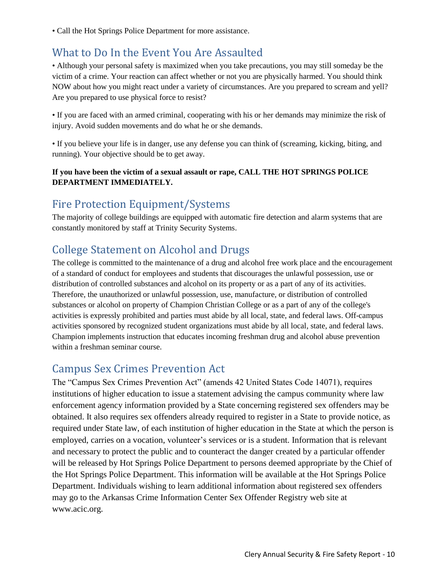• Call the Hot Springs Police Department for more assistance.

## <span id="page-10-0"></span>What to Do In the Event You Are Assaulted

• Although your personal safety is maximized when you take precautions, you may still someday be the victim of a crime. Your reaction can affect whether or not you are physically harmed. You should think NOW about how you might react under a variety of circumstances. Are you prepared to scream and yell? Are you prepared to use physical force to resist?

• If you are faced with an armed criminal, cooperating with his or her demands may minimize the risk of injury. Avoid sudden movements and do what he or she demands.

• If you believe your life is in danger, use any defense you can think of (screaming, kicking, biting, and running). Your objective should be to get away.

#### **If you have been the victim of a sexual assault or rape, CALL THE HOT SPRINGS POLICE DEPARTMENT IMMEDIATELY.**

#### <span id="page-10-1"></span>Fire Protection Equipment/Systems

The majority of college buildings are equipped with automatic fire detection and alarm systems that are constantly monitored by staff at Trinity Security Systems.

# <span id="page-10-2"></span>College Statement on Alcohol and Drugs

The college is committed to the maintenance of a drug and alcohol free work place and the encouragement of a standard of conduct for employees and students that discourages the unlawful possession, use or distribution of controlled substances and alcohol on its property or as a part of any of its activities. Therefore, the unauthorized or unlawful possession, use, manufacture, or distribution of controlled substances or alcohol on property of Champion Christian College or as a part of any of the college's activities is expressly prohibited and parties must abide by all local, state, and federal laws. Off-campus activities sponsored by recognized student organizations must abide by all local, state, and federal laws. Champion implements instruction that educates incoming freshman drug and alcohol abuse prevention within a freshman seminar course.

# <span id="page-10-3"></span>Campus Sex Crimes Prevention Act

The "Campus Sex Crimes Prevention Act" (amends 42 United States Code 14071), requires institutions of higher education to issue a statement advising the campus community where law enforcement agency information provided by a State concerning registered sex offenders may be obtained. It also requires sex offenders already required to register in a State to provide notice, as required under State law, of each institution of higher education in the State at which the person is employed, carries on a vocation, volunteer's services or is a student. Information that is relevant and necessary to protect the public and to counteract the danger created by a particular offender will be released by Hot Springs Police Department to persons deemed appropriate by the Chief of the Hot Springs Police Department. This information will be available at the Hot Springs Police Department. Individuals wishing to learn additional information about registered sex offenders may go to the Arkansas Crime Information Center Sex Offender Registry web site at www.acic.org.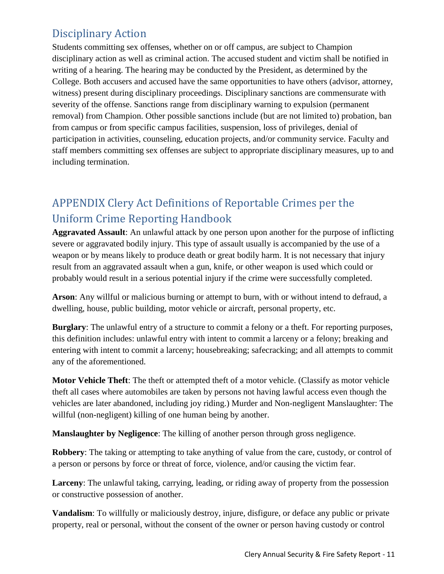# <span id="page-11-0"></span>Disciplinary Action

Students committing sex offenses, whether on or off campus, are subject to Champion disciplinary action as well as criminal action. The accused student and victim shall be notified in writing of a hearing. The hearing may be conducted by the President, as determined by the College. Both accusers and accused have the same opportunities to have others (advisor, attorney, witness) present during disciplinary proceedings. Disciplinary sanctions are commensurate with severity of the offense. Sanctions range from disciplinary warning to expulsion (permanent removal) from Champion. Other possible sanctions include (but are not limited to) probation, ban from campus or from specific campus facilities, suspension, loss of privileges, denial of participation in activities, counseling, education projects, and/or community service. Faculty and staff members committing sex offenses are subject to appropriate disciplinary measures, up to and including termination.

# <span id="page-11-1"></span>APPENDIX Clery Act Definitions of Reportable Crimes per the Uniform Crime Reporting Handbook

**Aggravated Assault**: An unlawful attack by one person upon another for the purpose of inflicting severe or aggravated bodily injury. This type of assault usually is accompanied by the use of a weapon or by means likely to produce death or great bodily harm. It is not necessary that injury result from an aggravated assault when a gun, knife, or other weapon is used which could or probably would result in a serious potential injury if the crime were successfully completed.

**Arson**: Any willful or malicious burning or attempt to burn, with or without intend to defraud, a dwelling, house, public building, motor vehicle or aircraft, personal property, etc.

**Burglary**: The unlawful entry of a structure to commit a felony or a theft. For reporting purposes, this definition includes: unlawful entry with intent to commit a larceny or a felony; breaking and entering with intent to commit a larceny; housebreaking; safecracking; and all attempts to commit any of the aforementioned.

**Motor Vehicle Theft**: The theft or attempted theft of a motor vehicle. (Classify as motor vehicle theft all cases where automobiles are taken by persons not having lawful access even though the vehicles are later abandoned, including joy riding.) Murder and Non-negligent Manslaughter: The willful (non-negligent) killing of one human being by another.

**Manslaughter by Negligence**: The killing of another person through gross negligence.

**Robbery:** The taking or attempting to take anything of value from the care, custody, or control of a person or persons by force or threat of force, violence, and/or causing the victim fear.

**Larceny**: The unlawful taking, carrying, leading, or riding away of property from the possession or constructive possession of another.

**Vandalism**: To willfully or maliciously destroy, injure, disfigure, or deface any public or private property, real or personal, without the consent of the owner or person having custody or control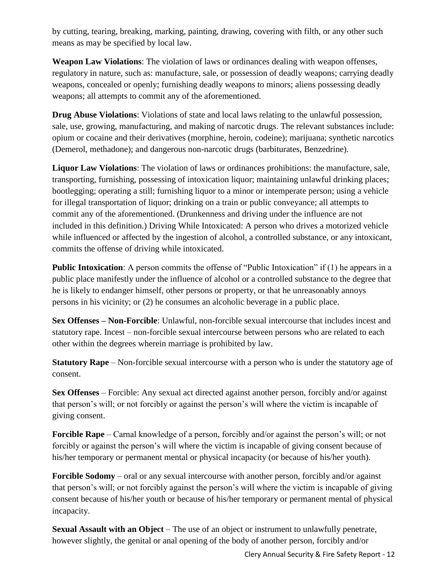by cutting, tearing, breaking, marking, painting, drawing, covering with filth, or any other such means as may be specified by local law.

**Weapon Law Violations**: The violation of laws or ordinances dealing with weapon offenses, regulatory in nature, such as: manufacture, sale, or possession of deadly weapons; carrying deadly weapons, concealed or openly; furnishing deadly weapons to minors; aliens possessing deadly weapons; all attempts to commit any of the aforementioned.

**Drug Abuse Violations**: Violations of state and local laws relating to the unlawful possession, sale, use, growing, manufacturing, and making of narcotic drugs. The relevant substances include: opium or cocaine and their derivatives (morphine, heroin, codeine); marijuana; synthetic narcotics (Demerol, methadone); and dangerous non-narcotic drugs (barbiturates, Benzedrine).

**Liquor Law Violations**: The violation of laws or ordinances prohibitions: the manufacture, sale, transporting, furnishing, possessing of intoxication liquor; maintaining unlawful drinking places; bootlegging; operating a still; furnishing liquor to a minor or intemperate person; using a vehicle for illegal transportation of liquor; drinking on a train or public conveyance; all attempts to commit any of the aforementioned. (Drunkenness and driving under the influence are not included in this definition.) Driving While Intoxicated: A person who drives a motorized vehicle while influenced or affected by the ingestion of alcohol, a controlled substance, or any intoxicant, commits the offense of driving while intoxicated.

**Public Intoxication:** A person commits the offense of "Public Intoxication" if (1) he appears in a public place manifestly under the influence of alcohol or a controlled substance to the degree that he is likely to endanger himself, other persons or property, or that he unreasonably annoys persons in his vicinity; or (2) he consumes an alcoholic beverage in a public place.

**Sex Offenses – Non-Forcible**: Unlawful, non-forcible sexual intercourse that includes incest and statutory rape. Incest – non-forcible sexual intercourse between persons who are related to each other within the degrees wherein marriage is prohibited by law.

**Statutory Rape** – Non-forcible sexual intercourse with a person who is under the statutory age of consent.

**Sex Offenses** – Forcible: Any sexual act directed against another person, forcibly and/or against that person's will; or not forcibly or against the person's will where the victim is incapable of giving consent.

**Forcible Rape** – Carnal knowledge of a person, forcibly and/or against the person's will; or not forcibly or against the person's will where the victim is incapable of giving consent because of his/her temporary or permanent mental or physical incapacity (or because of his/her youth).

**Forcible Sodomy** – oral or any sexual intercourse with another person, forcibly and/or against that person's will; or not forcibly against the person's will where the victim is incapable of giving consent because of his/her youth or because of his/her temporary or permanent mental of physical incapacity.

**Sexual Assault with an Object** – The use of an object or instrument to unlawfully penetrate, however slightly, the genital or anal opening of the body of another person, forcibly and/or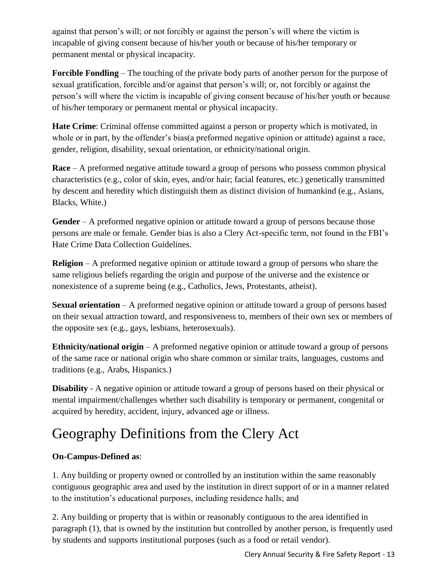against that person's will; or not forcibly or against the person's will where the victim is incapable of giving consent because of his/her youth or because of his/her temporary or permanent mental or physical incapacity.

**Forcible Fondling** – The touching of the private body parts of another person for the purpose of sexual gratification, forcible and/or against that person's will; or, not forcibly or against the person's will where the victim is incapable of giving consent because of his/her youth or because of his/her temporary or permanent mental or physical incapacity.

**Hate Crime**: Criminal offense committed against a person or property which is motivated, in whole or in part, by the offender's bias(a preformed negative opinion or attitude) against a race, gender, religion, disability, sexual orientation, or ethnicity/national origin.

**Race** – A preformed negative attitude toward a group of persons who possess common physical characteristics (e.g., color of skin, eyes, and/or hair; facial features, etc.) genetically transmitted by descent and heredity which distinguish them as distinct division of humankind (e.g., Asians, Blacks, White.)

**Gender** – A preformed negative opinion or attitude toward a group of persons because those persons are male or female. Gender bias is also a Clery Act-specific term, not found in the FBI's Hate Crime Data Collection Guidelines.

**Religion** – A preformed negative opinion or attitude toward a group of persons who share the same religious beliefs regarding the origin and purpose of the universe and the existence or nonexistence of a supreme being (e.g., Catholics, Jews, Protestants, atheist).

**Sexual orientation** – A preformed negative opinion or attitude toward a group of persons based on their sexual attraction toward, and responsiveness to, members of their own sex or members of the opposite sex (e.g., gays, lesbians, heterosexuals).

**Ethnicity/national origin** – A preformed negative opinion or attitude toward a group of persons of the same race or national origin who share common or similar traits, languages, customs and traditions (e.g., Arabs, Hispanics.)

**Disability** - A negative opinion or attitude toward a group of persons based on their physical or mental impairment/challenges whether such disability is temporary or permanent, congenital or acquired by heredity, accident, injury, advanced age or illness.

# Geography Definitions from the Clery Act

#### **On-Campus-Defined as**:

1. Any building or property owned or controlled by an institution within the same reasonably contiguous geographic area and used by the institution in direct support of or in a manner related to the institution's educational purposes, including residence halls; and

2. Any building or property that is within or reasonably contiguous to the area identified in paragraph (1), that is owned by the institution but controlled by another person, is frequently used by students and supports institutional purposes (such as a food or retail vendor).